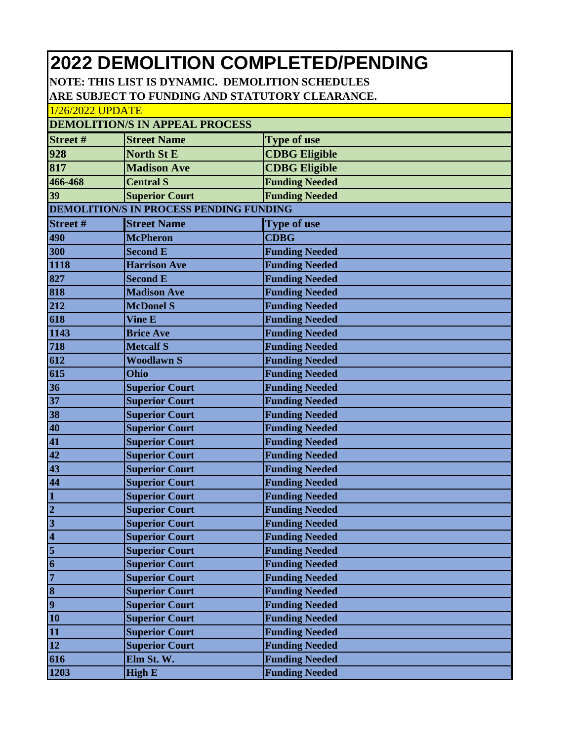## **2022 DEMOLITION COMPLETED/PENDING**

**NOTE: THIS LIST IS DYNAMIC. DEMOLITION SCHEDULES ARE SUBJECT TO FUNDING AND STATUTORY CLEARANCE.**

| 1/26/2022 UPDATE                      |                                                |                       |  |  |  |
|---------------------------------------|------------------------------------------------|-----------------------|--|--|--|
| <b>DEMOLITION/S IN APPEAL PROCESS</b> |                                                |                       |  |  |  |
| Street#                               | <b>Street Name</b>                             | <b>Type of use</b>    |  |  |  |
| 928                                   | <b>North St E</b>                              | <b>CDBG Eligible</b>  |  |  |  |
| 817                                   | <b>Madison Ave</b>                             | <b>CDBG Eligible</b>  |  |  |  |
| 466-468                               | <b>Central S</b>                               | <b>Funding Needed</b> |  |  |  |
| 39                                    | <b>Superior Court</b>                          | <b>Funding Needed</b> |  |  |  |
|                                       | <b>DEMOLITION/S IN PROCESS PENDING FUNDING</b> |                       |  |  |  |
| Street#                               | <b>Street Name</b>                             | <b>Type of use</b>    |  |  |  |
| 490                                   | <b>McPheron</b>                                | <b>CDBG</b>           |  |  |  |
| 300                                   | <b>Second E</b>                                | <b>Funding Needed</b> |  |  |  |
| 1118                                  | <b>Harrison Ave</b>                            | <b>Funding Needed</b> |  |  |  |
| 827                                   | <b>Second E</b>                                | <b>Funding Needed</b> |  |  |  |
| 818                                   | <b>Madison Ave</b>                             | <b>Funding Needed</b> |  |  |  |
| 212                                   | <b>McDonel S</b>                               | <b>Funding Needed</b> |  |  |  |
| 618                                   | <b>Vine E</b>                                  | <b>Funding Needed</b> |  |  |  |
| 1143                                  | <b>Brice Ave</b>                               | <b>Funding Needed</b> |  |  |  |
| 718                                   | <b>Metcalf S</b>                               | <b>Funding Needed</b> |  |  |  |
| 612                                   | <b>Woodlawn S</b>                              | <b>Funding Needed</b> |  |  |  |
| 615                                   | Ohio                                           | <b>Funding Needed</b> |  |  |  |
| 36                                    | <b>Superior Court</b>                          | <b>Funding Needed</b> |  |  |  |
| 37                                    | <b>Superior Court</b>                          | <b>Funding Needed</b> |  |  |  |
| 38                                    | <b>Superior Court</b>                          | <b>Funding Needed</b> |  |  |  |
| 40                                    | <b>Superior Court</b>                          | <b>Funding Needed</b> |  |  |  |
| 41                                    | <b>Superior Court</b>                          | <b>Funding Needed</b> |  |  |  |
| 42                                    | <b>Superior Court</b>                          | <b>Funding Needed</b> |  |  |  |
| 43                                    | <b>Superior Court</b>                          | <b>Funding Needed</b> |  |  |  |
| 44                                    | <b>Superior Court</b>                          | <b>Funding Needed</b> |  |  |  |
| $\mathbf{1}$                          | <b>Superior Court</b>                          | <b>Funding Needed</b> |  |  |  |
| $\overline{2}$                        | <b>Superior Court</b>                          | <b>Funding Needed</b> |  |  |  |
| $\overline{3}$                        | <b>Superior Court</b>                          | <b>Funding Needed</b> |  |  |  |
| $\overline{\mathbf{4}}$               | <b>Superior Court</b>                          | <b>Funding Needed</b> |  |  |  |
| $\overline{\mathbf{5}}$               | <b>Superior Court</b>                          | <b>Funding Needed</b> |  |  |  |
| 6                                     | <b>Superior Court</b>                          | <b>Funding Needed</b> |  |  |  |
| 7                                     | <b>Superior Court</b>                          | <b>Funding Needed</b> |  |  |  |
| 8                                     | <b>Superior Court</b>                          | <b>Funding Needed</b> |  |  |  |
| $\overline{9}$                        | <b>Superior Court</b>                          | <b>Funding Needed</b> |  |  |  |
| 10                                    | <b>Superior Court</b>                          | <b>Funding Needed</b> |  |  |  |
| 11                                    | <b>Superior Court</b>                          | <b>Funding Needed</b> |  |  |  |
| 12                                    | <b>Superior Court</b>                          | <b>Funding Needed</b> |  |  |  |
| 616                                   | Elm St. W.                                     | <b>Funding Needed</b> |  |  |  |
| 1203                                  | <b>High E</b>                                  | <b>Funding Needed</b> |  |  |  |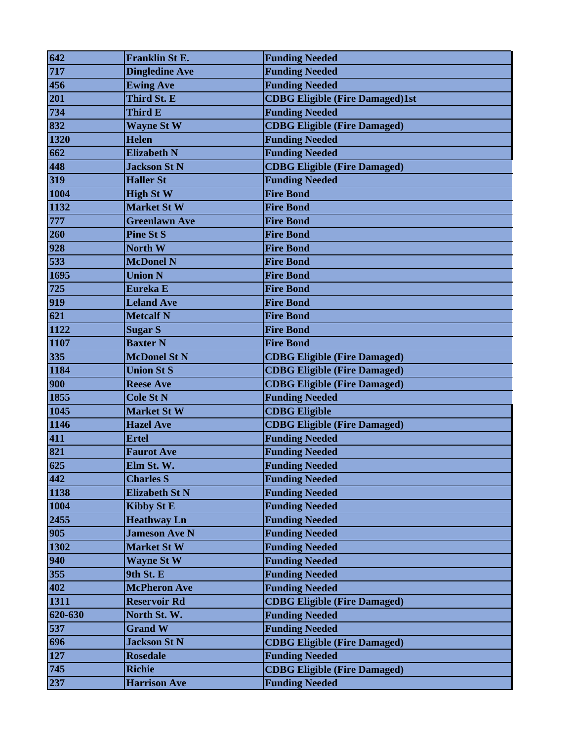| 642     | <b>Franklin St E.</b> | <b>Funding Needed</b>                  |
|---------|-----------------------|----------------------------------------|
| 717     | <b>Dingledine Ave</b> | <b>Funding Needed</b>                  |
| 456     | <b>Ewing Ave</b>      | <b>Funding Needed</b>                  |
| 201     | Third St. E           | <b>CDBG Eligible (Fire Damaged)1st</b> |
| 734     | Third E               | <b>Funding Needed</b>                  |
| 832     | <b>Wayne St W</b>     | <b>CDBG Eligible (Fire Damaged)</b>    |
| 1320    | <b>Helen</b>          | <b>Funding Needed</b>                  |
| 662     | <b>Elizabeth N</b>    | <b>Funding Needed</b>                  |
| 448     | <b>Jackson St N</b>   | <b>CDBG Eligible (Fire Damaged)</b>    |
| 319     | <b>Haller St</b>      | <b>Funding Needed</b>                  |
| 1004    | <b>High St W</b>      | <b>Fire Bond</b>                       |
| 1132    | <b>Market St W</b>    | <b>Fire Bond</b>                       |
| 777     | <b>Greenlawn Ave</b>  | <b>Fire Bond</b>                       |
| 260     | <b>Pine St S</b>      | <b>Fire Bond</b>                       |
| 928     | North W               | <b>Fire Bond</b>                       |
| 533     | <b>McDonel N</b>      | <b>Fire Bond</b>                       |
| 1695    | <b>Union N</b>        | <b>Fire Bond</b>                       |
| 725     | Eureka E              | <b>Fire Bond</b>                       |
| 919     | <b>Leland Ave</b>     | <b>Fire Bond</b>                       |
| 621     | <b>Metcalf N</b>      | <b>Fire Bond</b>                       |
| 1122    | <b>Sugar S</b>        | <b>Fire Bond</b>                       |
| 1107    | <b>Baxter N</b>       | <b>Fire Bond</b>                       |
| 335     | <b>McDonel St N</b>   | <b>CDBG Eligible (Fire Damaged)</b>    |
| 1184    | <b>Union St S</b>     | <b>CDBG Eligible (Fire Damaged)</b>    |
| 900     | <b>Reese Ave</b>      | <b>CDBG Eligible (Fire Damaged)</b>    |
| 1855    | <b>Cole St N</b>      | <b>Funding Needed</b>                  |
| 1045    | <b>Market St W</b>    | <b>CDBG Eligible</b>                   |
| 1146    | <b>Hazel Ave</b>      | <b>CDBG Eligible (Fire Damaged)</b>    |
| 411     | <b>Ertel</b>          | <b>Funding Needed</b>                  |
| 821     | <b>Faurot Ave</b>     | <b>Funding Needed</b>                  |
| 625     | Elm St. W.            | <b>Funding Needed</b>                  |
| 442     | <b>Charles S</b>      | <b>Funding Needed</b>                  |
| 1138    | <b>Elizabeth St N</b> | <b>Funding Needed</b>                  |
| 1004    | <b>Kibby St E</b>     | <b>Funding Needed</b>                  |
| 2455    | <b>Heathway Ln</b>    | <b>Funding Needed</b>                  |
| 905     | <b>Jameson Ave N</b>  | <b>Funding Needed</b>                  |
| 1302    | <b>Market St W</b>    | <b>Funding Needed</b>                  |
| 940     | <b>Wayne St W</b>     | <b>Funding Needed</b>                  |
| 355     | 9th St. E             | <b>Funding Needed</b>                  |
| 402     | <b>McPheron Ave</b>   | <b>Funding Needed</b>                  |
| 1311    | <b>Reservoir Rd</b>   | <b>CDBG Eligible (Fire Damaged)</b>    |
| 620-630 | North St. W.          | <b>Funding Needed</b>                  |
| 537     | <b>Grand W</b>        | <b>Funding Needed</b>                  |
| 696     | <b>Jackson St N</b>   | <b>CDBG Eligible (Fire Damaged)</b>    |
| 127     | <b>Rosedale</b>       | <b>Funding Needed</b>                  |
| 745     | <b>Richie</b>         | <b>CDBG Eligible (Fire Damaged)</b>    |
| 237     | <b>Harrison Ave</b>   | <b>Funding Needed</b>                  |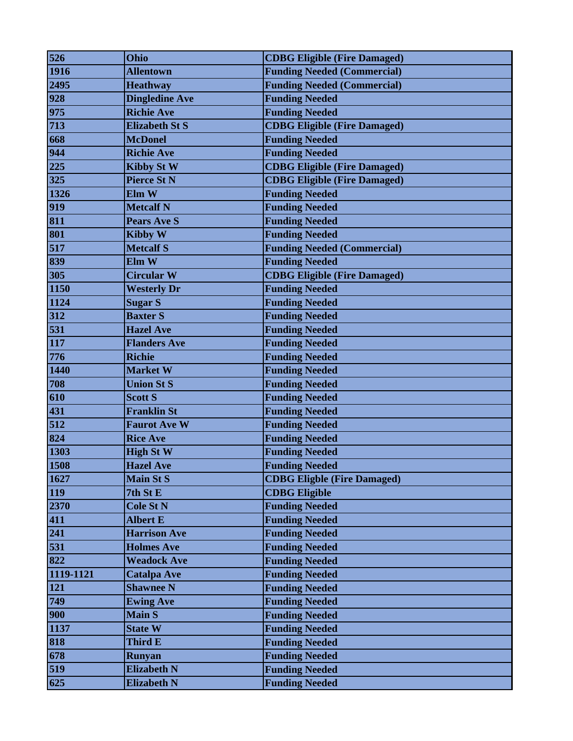| 526       | Ohio                  | <b>CDBG Eligible (Fire Damaged)</b> |
|-----------|-----------------------|-------------------------------------|
| 1916      | <b>Allentown</b>      | <b>Funding Needed (Commercial)</b>  |
| 2495      | <b>Heathway</b>       | <b>Funding Needed (Commercial)</b>  |
| 928       | <b>Dingledine Ave</b> | <b>Funding Needed</b>               |
| 975       | <b>Richie Ave</b>     | <b>Funding Needed</b>               |
| 713       | <b>Elizabeth St S</b> | <b>CDBG Eligible (Fire Damaged)</b> |
| 668       | <b>McDonel</b>        | <b>Funding Needed</b>               |
| 944       | <b>Richie Ave</b>     | <b>Funding Needed</b>               |
| 225       | <b>Kibby St W</b>     | <b>CDBG Eligible (Fire Damaged)</b> |
| 325       | <b>Pierce St N</b>    | <b>CDBG Eligible (Fire Damaged)</b> |
| 1326      | Elm W                 | <b>Funding Needed</b>               |
| 919       | <b>Metcalf N</b>      | <b>Funding Needed</b>               |
| 811       | <b>Pears Ave S</b>    | <b>Funding Needed</b>               |
| 801       | <b>Kibby W</b>        | <b>Funding Needed</b>               |
| 517       | <b>Metcalf S</b>      | <b>Funding Needed (Commercial)</b>  |
| 839       | Elm W                 | <b>Funding Needed</b>               |
| 305       | <b>Circular W</b>     | <b>CDBG Eligible (Fire Damaged)</b> |
| 1150      | <b>Westerly Dr</b>    | <b>Funding Needed</b>               |
| 1124      | <b>Sugar S</b>        | <b>Funding Needed</b>               |
| 312       | <b>Baxter S</b>       | <b>Funding Needed</b>               |
| 531       | <b>Hazel Ave</b>      | <b>Funding Needed</b>               |
| 117       | <b>Flanders Ave</b>   | <b>Funding Needed</b>               |
| 776       | <b>Richie</b>         | <b>Funding Needed</b>               |
| 1440      | <b>Market W</b>       | <b>Funding Needed</b>               |
| 708       | <b>Union St S</b>     | <b>Funding Needed</b>               |
| 610       | <b>Scott S</b>        | <b>Funding Needed</b>               |
| 431       | <b>Franklin St</b>    | <b>Funding Needed</b>               |
| 512       | <b>Faurot Ave W</b>   | <b>Funding Needed</b>               |
| 824       | <b>Rice Ave</b>       | <b>Funding Needed</b>               |
| 1303      | <b>High St W</b>      | <b>Funding Needed</b>               |
| 1508      | <b>Hazel Ave</b>      | <b>Funding Needed</b>               |
| 1627      | <b>Main St S</b>      | <b>CDBG Eligble (Fire Damaged)</b>  |
| 119       | 7th St E              | <b>CDBG Eligible</b>                |
| 2370      | <b>Cole St N</b>      | <b>Funding Needed</b>               |
| 411       | <b>Albert E</b>       | <b>Funding Needed</b>               |
| 241       | <b>Harrison Ave</b>   | <b>Funding Needed</b>               |
| 531       | <b>Holmes Ave</b>     | <b>Funding Needed</b>               |
| 822       | <b>Weadock Ave</b>    | <b>Funding Needed</b>               |
| 1119-1121 | <b>Catalpa Ave</b>    | <b>Funding Needed</b>               |
| 121       | <b>Shawnee N</b>      | <b>Funding Needed</b>               |
| 749       | <b>Ewing Ave</b>      | <b>Funding Needed</b>               |
| 900       | <b>Main S</b>         | <b>Funding Needed</b>               |
| 1137      | <b>State W</b>        | <b>Funding Needed</b>               |
| 818       | Third E               | <b>Funding Needed</b>               |
| 678       | <b>Runyan</b>         | <b>Funding Needed</b>               |
| 519       | <b>Elizabeth N</b>    | <b>Funding Needed</b>               |
| 625       | <b>Elizabeth N</b>    | <b>Funding Needed</b>               |